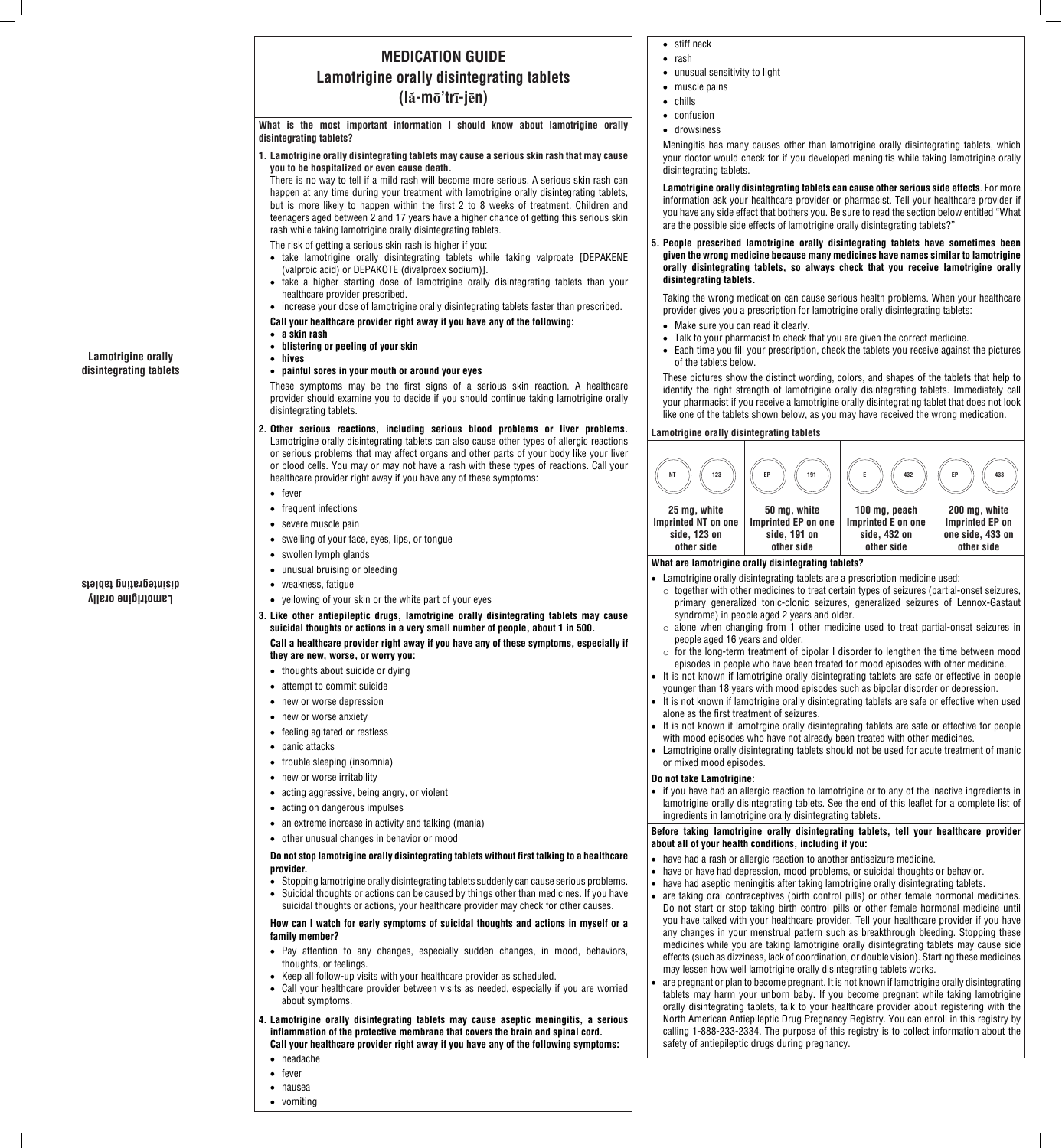# **MEDICATION GUIDE Lamotrigine orally disintegrating tablets (lă-mō'trī-jēn)**

**What is the most important information I should know about lamotrigine orally disintegrating tablets?**

**1. Lamotrigine orally disintegrating tablets may cause a serious skin rash that may cause you to be hospitalized or even cause death.**

There is no way to tell if a mild rash will become more serious. A serious skin rash can happen at any time during your treatment with lamotrigine orally disintegrating tablets, but is more likely to happen within the first 2 to 8 weeks of treatment. Children and teenagers aged between 2 and 17 years have a higher chance of getting this serious skin rash while taking lamotrigine orally disintegrating tablets.

- The risk of getting a serious skin rash is higher if you:
- take lamotrigine orally disintegrating tablets while taking valproate [DEPAKENE (valproic acid) or DEPAKOTE (divalproex sodium)].
- take a higher starting dose of lamotrigine orally disintegrating tablets than your healthcare provider prescribed.
- increase your dose of lamotrigine orally disintegrating tablets faster than prescribed.
- **Call your healthcare provider right away if you have any of the following:**
- • **a skin rash** • **blistering or peeling of your skin**
- • **hives**

### • **painful sores in your mouth or around your eyes**

These symptoms may be the first signs of a serious skin reaction. A healthcare provider should examine you to decide if you should continue taking lamotrigine orally disintegrating tablets.

- **2. Other serious reactions, including serious blood problems or liver problems.** Lamotrigine orally disintegrating tablets can also cause other types of allergic reactions or serious problems that may affect organs and other parts of your body like your liver or blood cells. You may or may not have a rash with these types of reactions. Call your healthcare provider right away if you have any of these symptoms:
	- • fever
	- frequent infections
- • severe muscle pain
- swelling of your face, eyes, lips, or tongue
- swollen lymph glands
- unusual bruising or bleeding
- weakness, fatique
- vellowing of your skin or the white part of your eyes
- **3. Like other antiepileptic drugs, lamotrigine orally disintegrating tablets may cause suicidal thoughts or actions in a very small number of people, about 1 in 500. Call a healthcare provider right away if you have any of these symptoms, especially if they are new, worse, or worry you:**
- thoughts about suicide or dying
- attempt to commit suicide
- new or worse depression
- new or worse anxiety
- feeling agitated or restless
- panic attacks
- trouble sleeping (insomnia)
- new or worse irritability
- acting aggressive, being angry, or violent
- acting on dangerous impulses
- an extreme increase in activity and talking (mania)
- other unusual changes in behavior or mood

#### **Do not stop lamotrigine orally disintegrating tablets without first talking to a healthcare provider.**

• Stopping lamotrigine orally disintegrating tablets suddenly can cause serious problems. • Suicidal thoughts or actions can be caused by things other than medicines. If you have suicidal thoughts or actions, your healthcare provider may check for other causes.

# **How can I watch for early symptoms of suicidal thoughts and actions in myself or a family member?**

- Pay attention to any changes, especially sudden changes, in mood, behaviors, thoughts, or feelings.
- Keep all follow-up visits with your healthcare provider as scheduled.
- Call your healthcare provider between visits as needed, especially if you are worried about symptoms.

#### **4. Lamotrigine orally disintegrating tablets may cause aseptic meningitis, a serious inflammation of the protective membrane that covers the brain and spinal cord. Call your healthcare provider right away if you have any of the following symptoms:**

- • headache
- • fever
- • nausea
- • vomiting

## • stiff neck

- • rash
- unusual sensitivity to light
- muscle pains
- • chills
- • confusion
- • drowsiness

Meningitis has many causes other than lamotrigine orally disintegrating tablets, which your doctor would check for if you developed meningitis while taking lamotrigine orally disintegrating tablets.

**Lamotrigine orally disintegrating tablets can cause other serious side effects**. For more information ask your healthcare provider or pharmacist. Tell your healthcare provider if you have any side effect that bothers you. Be sure to read the section below entitled "What are the possible side effects of lamotrigine orally disintegrating tablets?"

**5. People prescribed lamotrigine orally disintegrating tablets have sometimes been given the wrong medicine because many medicines have names similar to lamotrigine orally disintegrating tablets, so always check that you receive lamotrigine orally disintegrating tablets.** 

Taking the wrong medication can cause serious health problems. When your healthcare provider gives you a prescription for lamotrigine orally disintegrating tablets:

- Make sure you can read it clearly.
- Talk to your pharmacist to check that you are given the correct medicine.
- Each time you fill your prescription, check the tablets you receive against the pictures of the tablets below.

These pictures show the distinct wording, colors, and shapes of the tablets that help to identify the right strength of lamotrigine orally disintegrating tablets. Immediately call your pharmacist if you receive a lamotrigine orally disintegrating tablet that does not look like one of the tablets shown below, as you may have received the wrong medication.

#### **Lamotrigine orally disintegrating tablets**



# **What are lamotrigine orally disintegrating tablets?**

- Lamotrigine orally disintegrating tablets are a prescription medicine used:
- $\circ$  together with other medicines to treat certain types of seizures (partial-onset seizures, primary generalized tonic-clonic seizures, generalized seizures of Lennox-Gastaut syndrome) in people aged 2 years and older.
- $\circ$  alone when changing from 1 other medicine used to treat partial-onset seizures in people aged 16 years and older.
- $\circ$  for the long-term treatment of bipolar I disorder to lengthen the time between mood episodes in people who have been treated for mood episodes with other medicine.
- It is not known if lamotrigine orally disintegrating tablets are safe or effective in people younger than 18 years with mood episodes such as bipolar disorder or depression.
- It is not known if lamotrigine orally disintegrating tablets are safe or effective when used alone as the first treatment of seizures.
- It is not known if lamotrgine orally disintegrating tablets are safe or effective for people with mood episodes who have not already been treated with other medicines.
- Lamotrigine orally disintegrating tablets should not be used for acute treatment of manic or mixed mood episodes.

#### **Do not take Lamotrigine:**

• if you have had an allergic reaction to lamotrigine or to any of the inactive ingredients in lamotrigine orally disintegrating tablets. See the end of this leaflet for a complete list of ingredients in lamotrigine orally disintegrating tablets.

## **Before taking lamotrigine orally disintegrating tablets, tell your healthcare provider about all of your health conditions, including if you:**

- have had a rash or allergic reaction to another antiseizure medicine.
- have or have had depression, mood problems, or suicidal thoughts or behavior.
- have had aseptic meningitis after taking lamotrigine orally disintegrating tablets.
- are taking oral contraceptives (birth control pills) or other female hormonal medicines. Do not start or stop taking birth control pills or other female hormonal medicine until you have talked with your healthcare provider. Tell your healthcare provider if you have any changes in your menstrual pattern such as breakthrough bleeding. Stopping these medicines while you are taking lamotrigine orally disintegrating tablets may cause side effects (such as dizziness, lack of coordination, or double vision). Starting these medicines may lessen how well lamotrigine orally disintegrating tablets works.
- are pregnant or plan to become pregnant. It is not known if lamotrigine orally disintegrating tablets may harm your unborn baby. If you become pregnant while taking lamotrigine orally disintegrating tablets, talk to your healthcare provider about registering with the North American Antiepileptic Drug Pregnancy Registry. You can enroll in this registry by calling 1-888-233-2334. The purpose of this registry is to collect information about the safety of antiepileptic drugs during pregnancy.

**Lamotrigine orally disintegrating tablets**

**disintegrating tablets**

**Lamotrigine orally**